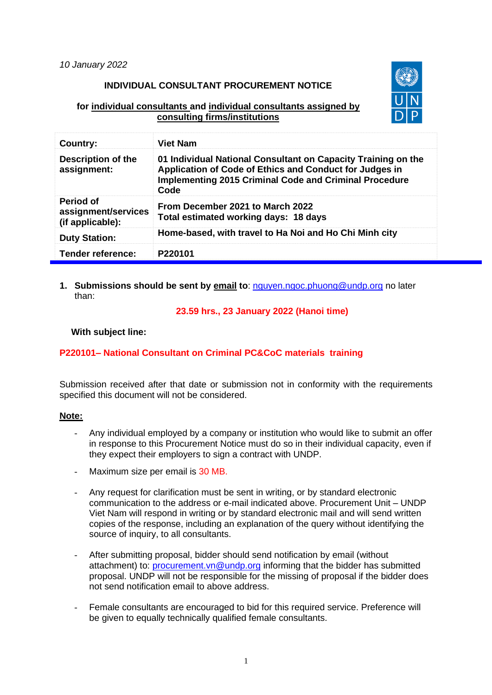### **INDIVIDUAL CONSULTANT PROCUREMENT NOTICE**

### **for individual consultants and individual consultants assigned by consulting firms/institutions**



| Country:                                             | <b>Viet Nam</b>                                                                                                                                                                                   |
|------------------------------------------------------|---------------------------------------------------------------------------------------------------------------------------------------------------------------------------------------------------|
| <b>Description of the</b><br>assignment:             | 01 Individual National Consultant on Capacity Training on the<br>Application of Code of Ethics and Conduct for Judges in<br><b>Implementing 2015 Criminal Code and Criminal Procedure</b><br>Code |
| Period of<br>assignment/services<br>(if applicable): | From December 2021 to March 2022<br>Total estimated working days: 18 days                                                                                                                         |
| <b>Duty Station:</b>                                 | Home-based, with travel to Ha Noi and Ho Chi Minh city                                                                                                                                            |
| <b>Tender reference:</b>                             | P <sub>220101</sub>                                                                                                                                                                               |

**1. Submissions should be sent by email to**: [nguyen.ngoc.phuong@undp.org](mailto:nguyen.ngoc.phuong@undp.org) no later than:

**23.59 hrs., 23 January 2022 (Hanoi time)**

### **With subject line:**

## **P220101– National Consultant on Criminal PC&CoC materials training**

Submission received after that date or submission not in conformity with the requirements specified this document will not be considered.

#### **Note:**

- Any individual employed by a company or institution who would like to submit an offer in response to this Procurement Notice must do so in their individual capacity, even if they expect their employers to sign a contract with UNDP.
- Maximum size per email is 30 MB.
- Any request for clarification must be sent in writing, or by standard electronic communication to the address or e-mail indicated above. Procurement Unit – UNDP Viet Nam will respond in writing or by standard electronic mail and will send written copies of the response, including an explanation of the query without identifying the source of inquiry, to all consultants.
- After submitting proposal, bidder should send notification by email (without attachment) to: [procurement.vn@undp.org](mailto:procurement.vn@undp.org) informing that the bidder has submitted proposal. UNDP will not be responsible for the missing of proposal if the bidder does not send notification email to above address.
- Female consultants are encouraged to bid for this required service. Preference will be given to equally technically qualified female consultants.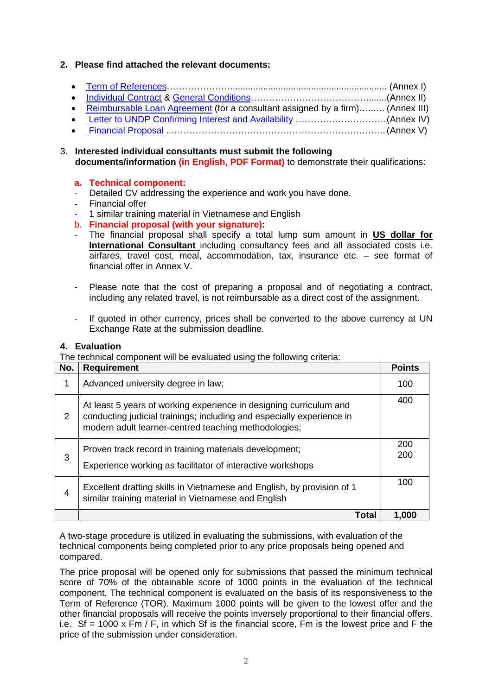## **2. Please find attached the relevant documents:**

• Term of References………………….............................................................. (Annex I) • [Individual Contract](http://www.undp.org/content/dam/vietnam/docs/Legalframework/31612_Individual_contract.pdf) & [General Conditions…](http://www.undp.org/content/dam/vietnam/docs/Legalframework/31613_General_Conditions_-_IC.pdf)……………………………….......(Annex II) • [Reimbursable Loan Agreement](http://www.vn.undp.org/content/dam/vietnam/docs/Legalframework/Reimbursable%20Loan%20Agreement%20formated.pdf) (for a consultant assigned by a firm)…...... (Annex III) • [Letter to UNDP Confirming Interest and](#page-10-0) Availability …………………………(Annex IV) • [Financial Proposal .](#page-14-0).………………………………………………………….….(Annex V)

### 3. **Interested individual consultants must submit the following documents/information (in English, PDF Format)** to demonstrate their qualifications:

## **a. Technical component:**

- Detailed CV addressing the experience and work you have done.
- Financial offer
- 1 similar training material in Vietnamese and English
- b. **Financial proposal (with your signature):**
- The financial proposal shall specify a total lump sum amount in **US dollar for International Consultant** including consultancy fees and all associated costs i.e. airfares, travel cost, meal, accommodation, tax, insurance etc. – see format of financial offer in Annex V.
- Please note that the cost of preparing a proposal and of negotiating a contract, including any related travel, is not reimbursable as a direct cost of the assignment.
- If quoted in other currency, prices shall be converted to the above currency at UN Exchange Rate at the submission deadline.

### **4. Evaluation**

The technical component will be evaluated using the following criteria:

| No. | <b>Requirement</b>                                                                                                                                                                                  | <b>Points</b> |
|-----|-----------------------------------------------------------------------------------------------------------------------------------------------------------------------------------------------------|---------------|
| 1   | Advanced university degree in law;                                                                                                                                                                  | 100           |
| 2   | At least 5 years of working experience in designing curriculum and<br>conducting judicial trainings; including and especially experience in<br>modern adult learner-centred teaching methodologies; | 400           |
| 3   | Proven track record in training materials development;<br>Experience working as facilitator of interactive workshops                                                                                | 200<br>200    |
| 4   | Excellent drafting skills in Vietnamese and English, by provision of 1<br>similar training material in Vietnamese and English                                                                       | 100           |
|     | Total                                                                                                                                                                                               | 1,000         |

A two-stage procedure is utilized in evaluating the submissions, with evaluation of the technical components being completed prior to any price proposals being opened and compared.

The price proposal will be opened only for submissions that passed the minimum technical score of 70% of the obtainable score of 1000 points in the evaluation of the technical component. The technical component is evaluated on the basis of its responsiveness to the Term of Reference (TOR). Maximum 1000 points will be given to the lowest offer and the other financial proposals will receive the points inversely proportional to their financial offers. i.e.  $St = 1000 \times Fm / F$ , in which Sf is the financial score, Fm is the lowest price and F the price of the submission under consideration.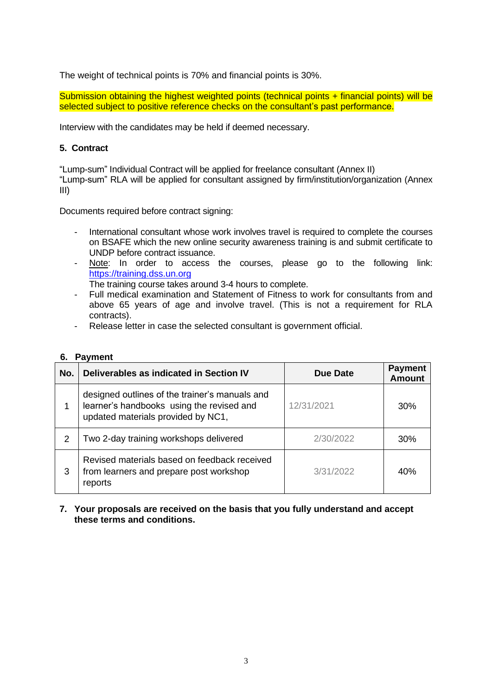The weight of technical points is 70% and financial points is 30%.

Submission obtaining the highest weighted points (technical points + financial points) will be selected subject to positive reference checks on the consultant's past performance.

Interview with the candidates may be held if deemed necessary.

### **5. Contract**

"Lump-sum" Individual Contract will be applied for freelance consultant (Annex II) "Lump-sum" RLA will be applied for consultant assigned by firm/institution/organization (Annex III)

Documents required before contract signing:

- International consultant whose work involves travel is required to complete the courses on BSAFE which the new online security awareness training is and submit certificate to UNDP before contract issuance.
- Note: In order to access the courses, please go to the following link: [https://training.dss.un.org](https://training.dss.un.org/)
- The training course takes around 3-4 hours to complete.
- Full medical examination and Statement of Fitness to work for consultants from and above 65 years of age and involve travel. (This is not a requirement for RLA contracts).
- Release letter in case the selected consultant is government official.

| No. | Deliverables as indicated in Section IV                                                                                           | Due Date   | <b>Payment</b><br><b>Amount</b> |
|-----|-----------------------------------------------------------------------------------------------------------------------------------|------------|---------------------------------|
|     | designed outlines of the trainer's manuals and<br>learner's handbooks using the revised and<br>updated materials provided by NC1, | 12/31/2021 | 30%                             |
| 2   | Two 2-day training workshops delivered                                                                                            | 2/30/2022  | 30%                             |
| 3   | Revised materials based on feedback received<br>from learners and prepare post workshop<br>reports                                | 3/31/2022  | 40%                             |

## **6. Payment**

### **7. Your proposals are received on the basis that you fully understand and accept these terms and conditions.**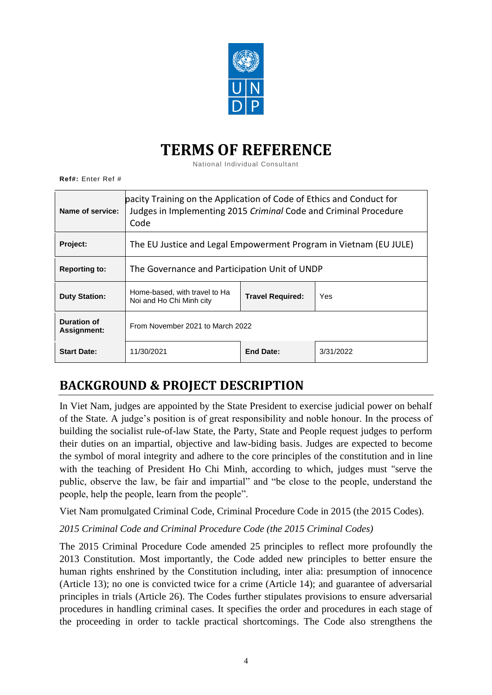

# **TERMS OF REFERENCE**

National Individual Consultant

**Ref#:** Enter Ref #

| Name of service:           | pacity Training on the Application of Code of Ethics and Conduct for<br>Judges in Implementing 2015 Criminal Code and Criminal Procedure<br>Code |  |  |  |  |
|----------------------------|--------------------------------------------------------------------------------------------------------------------------------------------------|--|--|--|--|
| <b>Project:</b>            | The EU Justice and Legal Empowerment Program in Vietnam (EU JULE)                                                                                |  |  |  |  |
| <b>Reporting to:</b>       | The Governance and Participation Unit of UNDP                                                                                                    |  |  |  |  |
| <b>Duty Station:</b>       | Home-based, with travel to Ha<br>Yes<br><b>Travel Required:</b><br>Noi and Ho Chi Minh city                                                      |  |  |  |  |
| Duration of<br>Assignment: | From November 2021 to March 2022                                                                                                                 |  |  |  |  |
| <b>Start Date:</b>         | 11/30/2021<br>End Date:<br>3/31/2022                                                                                                             |  |  |  |  |

# **BACKGROUND & PROJECT DESCRIPTION**

In Viet Nam, judges are appointed by the State President to exercise judicial power on behalf of the State. A judge's position is of great responsibility and noble honour. In the process of building the socialist rule-of-law State, the Party, State and People request judges to perform their duties on an impartial, objective and law-biding basis. Judges are expected to become the symbol of moral integrity and adhere to the core principles of the constitution and in line with the teaching of President Ho Chi Minh, according to which, judges must "serve the public, observe the law, be fair and impartial" and "be close to the people, understand the people, help the people, learn from the people".

Viet Nam promulgated Criminal Code, Criminal Procedure Code in 2015 (the 2015 Codes).

*2015 Criminal Code and Criminal Procedure Code (the 2015 Criminal Codes)*

The 2015 Criminal Procedure Code amended 25 principles to reflect more profoundly the 2013 Constitution. Most importantly, the Code added new principles to better ensure the human rights enshrined by the Constitution including, inter alia: presumption of innocence (Article 13); no one is convicted twice for a crime (Article 14); and guarantee of adversarial principles in trials (Article 26). The Codes further stipulates provisions to ensure adversarial procedures in handling criminal cases. It specifies the order and procedures in each stage of the proceeding in order to tackle practical shortcomings. The Code also strengthens the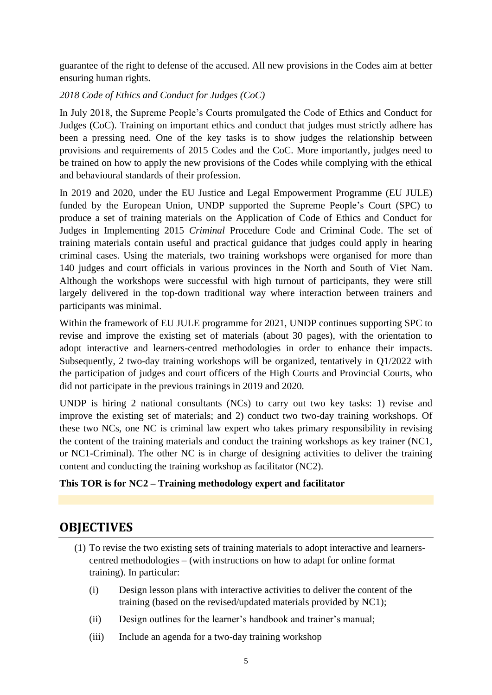guarantee of the right to defense of the accused. All new provisions in the Codes aim at better ensuring human rights.

# *2018 Code of Ethics and Conduct for Judges (CoC)*

In July 2018, the Supreme People's Courts promulgated the Code of Ethics and Conduct for Judges (CoC). Training on important ethics and conduct that judges must strictly adhere has been a pressing need. One of the key tasks is to show judges the relationship between provisions and requirements of 2015 Codes and the CoC. More importantly, judges need to be trained on how to apply the new provisions of the Codes while complying with the ethical and behavioural standards of their profession.

In 2019 and 2020, under the EU Justice and Legal Empowerment Programme (EU JULE) funded by the European Union, UNDP supported the Supreme People's Court (SPC) to produce a set of training materials on the Application of Code of Ethics and Conduct for Judges in Implementing 2015 *Criminal* Procedure Code and Criminal Code. The set of training materials contain useful and practical guidance that judges could apply in hearing criminal cases. Using the materials, two training workshops were organised for more than 140 judges and court officials in various provinces in the North and South of Viet Nam. Although the workshops were successful with high turnout of participants, they were still largely delivered in the top-down traditional way where interaction between trainers and participants was minimal.

Within the framework of EU JULE programme for 2021, UNDP continues supporting SPC to revise and improve the existing set of materials (about 30 pages), with the orientation to adopt interactive and learners-centred methodologies in order to enhance their impacts. Subsequently, 2 two-day training workshops will be organized, tentatively in Q1/2022 with the participation of judges and court officers of the High Courts and Provincial Courts, who did not participate in the previous trainings in 2019 and 2020.

UNDP is hiring 2 national consultants (NCs) to carry out two key tasks: 1) revise and improve the existing set of materials; and 2) conduct two two-day training workshops. Of these two NCs, one NC is criminal law expert who takes primary responsibility in revising the content of the training materials and conduct the training workshops as key trainer (NC1, or NC1-Criminal). The other NC is in charge of designing activities to deliver the training content and conducting the training workshop as facilitator (NC2).

# **This TOR is for NC2 – Training methodology expert and facilitator**

# **OBJECTIVES**

- (1) To revise the two existing sets of training materials to adopt interactive and learnerscentred methodologies – (with instructions on how to adapt for online format training). In particular:
	- (i) Design lesson plans with interactive activities to deliver the content of the training (based on the revised/updated materials provided by NC1);
	- (ii) Design outlines for the learner's handbook and trainer's manual;
	- (iii) Include an agenda for a two-day training workshop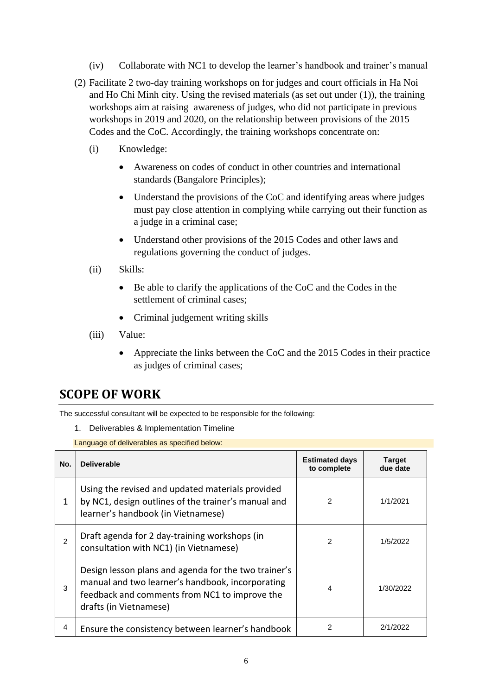- (iv) Collaborate with NC1 to develop the learner's handbook and trainer's manual
- (2) Facilitate 2 two-day training workshops on for judges and court officials in Ha Noi and Ho Chi Minh city. Using the revised materials (as set out under (1)), the training workshops aim at raising awareness of judges, who did not participate in previous workshops in 2019 and 2020, on the relationship between provisions of the 2015 Codes and the CoC. Accordingly, the training workshops concentrate on:
	- (i) Knowledge:
		- Awareness on codes of conduct in other countries and international standards (Bangalore Principles);
		- Understand the provisions of the CoC and identifying areas where judges must pay close attention in complying while carrying out their function as a judge in a criminal case;
		- Understand other provisions of the 2015 Codes and other laws and regulations governing the conduct of judges.
	- (ii) Skills:
		- Be able to clarify the applications of the CoC and the Codes in the settlement of criminal cases;
		- Criminal judgement writing skills
	- (iii) Value:
		- Appreciate the links between the CoC and the 2015 Codes in their practice as judges of criminal cases;

# **SCOPE OF WORK**

The successful consultant will be expected to be responsible for the following:

1. Deliverables & Implementation Timeline

Language of deliverables as specified below:

| No.           | <b>Deliverable</b>                                                                                                                                                                  | <b>Estimated days</b><br>to complete | <b>Target</b><br>due date |
|---------------|-------------------------------------------------------------------------------------------------------------------------------------------------------------------------------------|--------------------------------------|---------------------------|
| 1             | Using the revised and updated materials provided<br>by NC1, design outlines of the trainer's manual and<br>learner's handbook (in Vietnamese)                                       | $\mathfrak{p}$                       | 1/1/2021                  |
| $\mathcal{P}$ | Draft agenda for 2 day-training workshops (in<br>consultation with NC1) (in Vietnamese)                                                                                             | $\mathcal{P}$                        | 1/5/2022                  |
| 3             | Design lesson plans and agenda for the two trainer's<br>manual and two learner's handbook, incorporating<br>feedback and comments from NC1 to improve the<br>drafts (in Vietnamese) | 4                                    | 1/30/2022                 |
| 4             | Ensure the consistency between learner's handbook                                                                                                                                   | 2                                    | 2/1/2022                  |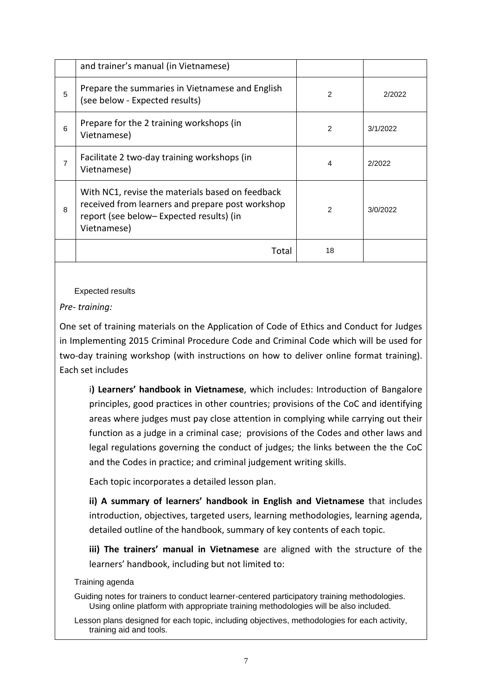|   | and trainer's manual (in Vietnamese)                                                                                                                           |                |          |
|---|----------------------------------------------------------------------------------------------------------------------------------------------------------------|----------------|----------|
| 5 | Prepare the summaries in Vietnamese and English<br>(see below - Expected results)                                                                              | $\overline{2}$ | 2/2022   |
| 6 | Prepare for the 2 training workshops (in<br>Vietnamese)                                                                                                        | $\mathfrak{p}$ | 3/1/2022 |
| 7 | Facilitate 2 two-day training workshops (in<br>Vietnamese)                                                                                                     | 4              | 2/2022   |
| 8 | With NC1, revise the materials based on feedback<br>received from learners and prepare post workshop<br>report (see below-Expected results) (in<br>Vietnamese) | $\mathfrak{p}$ | 3/0/2022 |
|   | Total                                                                                                                                                          | 18             |          |

Expected results

*Pre- training:*

One set of training materials on the Application of Code of Ethics and Conduct for Judges in Implementing 2015 Criminal Procedure Code and Criminal Code which will be used for two-day training workshop (with instructions on how to deliver online format training). Each set includes

i**) Learners' handbook in Vietnamese**, which includes: Introduction of Bangalore principles, good practices in other countries; provisions of the CoC and identifying areas where judges must pay close attention in complying while carrying out their function as a judge in a criminal case; provisions of the Codes and other laws and legal regulations governing the conduct of judges; the links between the the CoC and the Codes in practice; and criminal judgement writing skills.

Each topic incorporates a detailed lesson plan.

**ii) A summary of learners' handbook in English and Vietnamese** that includes introduction, objectives, targeted users, learning methodologies, learning agenda, detailed outline of the handbook, summary of key contents of each topic.

**iii) The trainers' manual in Vietnamese** are aligned with the structure of the learners' handbook, including but not limited to:

Training agenda

Guiding notes for trainers to conduct learner-centered participatory training methodologies. Using online platform with appropriate training methodologies will be also included.

Lesson plans designed for each topic, including objectives, methodologies for each activity, training aid and tools.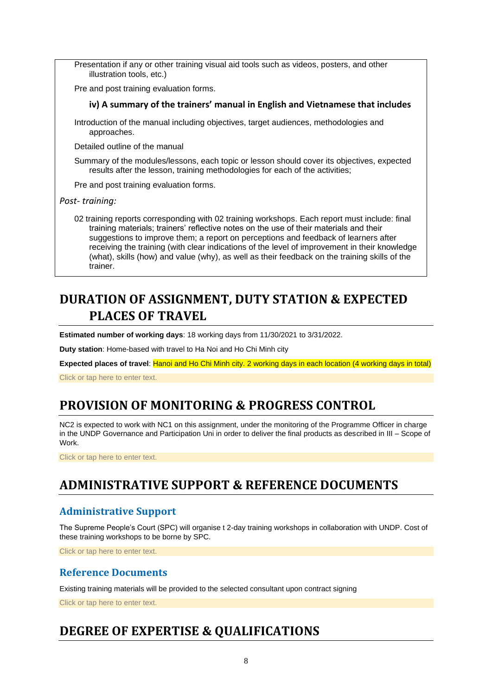Presentation if any or other training visual aid tools such as videos, posters, and other illustration tools, etc.)

Pre and post training evaluation forms.

### **iv) A summary of the trainers' manual in English and Vietnamese that includes**

Introduction of the manual including objectives, target audiences, methodologies and approaches.

Detailed outline of the manual

Summary of the modules/lessons, each topic or lesson should cover its objectives, expected results after the lesson, training methodologies for each of the activities;

Pre and post training evaluation forms.

*Post- training:*

02 training reports corresponding with 02 training workshops. Each report must include: final training materials; trainers' reflective notes on the use of their materials and their suggestions to improve them; a report on perceptions and feedback of learners after receiving the training (with clear indications of the level of improvement in their knowledge (what), skills (how) and value (why), as well as their feedback on the training skills of the trainer.

# **DURATION OF ASSIGNMENT, DUTY STATION & EXPECTED PLACES OF TRAVEL**

**Estimated number of working days**: 18 working days from 11/30/2021 to 3/31/2022.

**Duty station**: Home-based with travel to Ha Noi and Ho Chi Minh city

**Expected places of travel**: Hanoi and Ho Chi Minh city. 2 working days in each location (4 working days in total)

Click or tap here to enter text.

# **PROVISION OF MONITORING & PROGRESS CONTROL**

NC2 is expected to work with NC1 on this assignment, under the monitoring of the Programme Officer in charge in the UNDP Governance and Participation Uni in order to deliver the final products as described in III – Scope of Work.

Click or tap here to enter text.

# **ADMINISTRATIVE SUPPORT & REFERENCE DOCUMENTS**

# **Administrative Support**

The Supreme People's Court (SPC) will organise t 2-day training workshops in collaboration with UNDP. Cost of these training workshops to be borne by SPC.

Click or tap here to enter text.

# **Reference Documents**

Existing training materials will be provided to the selected consultant upon contract signing

Click or tap here to enter text.

# **DEGREE OF EXPERTISE & QUALIFICATIONS**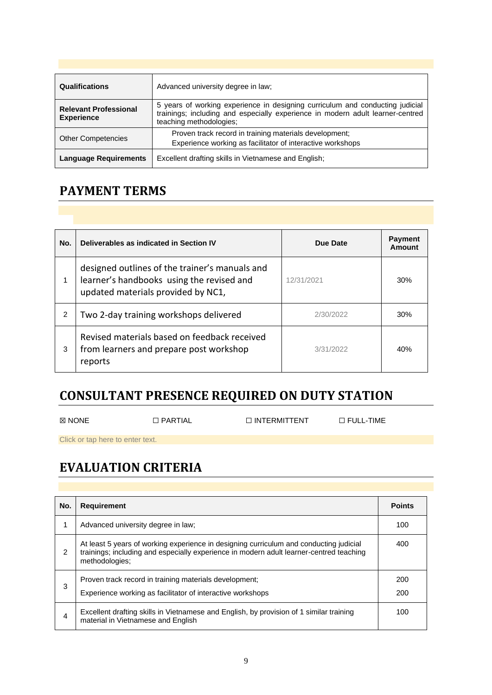| <b>Qualifications</b>                             | Advanced university degree in law;                                                                                                                                                         |
|---------------------------------------------------|--------------------------------------------------------------------------------------------------------------------------------------------------------------------------------------------|
| <b>Relevant Professional</b><br><b>Experience</b> | 5 years of working experience in designing curriculum and conducting judicial<br>trainings; including and especially experience in modern adult learner-centred<br>teaching methodologies; |
| <b>Other Competencies</b>                         | Proven track record in training materials development;<br>Experience working as facilitator of interactive workshops                                                                       |
| <b>Language Requirements</b>                      | Excellent drafting skills in Vietnamese and English;                                                                                                                                       |

# **PAYMENT TERMS**

| No. | Deliverables as indicated in Section IV                                                                                           | Due Date   | <b>Payment</b><br>Amount |
|-----|-----------------------------------------------------------------------------------------------------------------------------------|------------|--------------------------|
|     | designed outlines of the trainer's manuals and<br>learner's handbooks using the revised and<br>updated materials provided by NC1, | 12/31/2021 | 30%                      |
| 2   | Two 2-day training workshops delivered                                                                                            | 2/30/2022  | 30%                      |
| 3   | Revised materials based on feedback received<br>from learners and prepare post workshop<br>reports                                | 3/31/2022  | 40%                      |

# **CONSULTANT PRESENCE REQUIRED ON DUTY STATION**

☒ NONE ☐ PARTIAL ☐ INTERMITTENT ☐ FULL-TIME

Click or tap here to enter text.

# **EVALUATION CRITERIA**

| No.           | <b>Requirement</b>                                                                                                                                                                                  | <b>Points</b> |
|---------------|-----------------------------------------------------------------------------------------------------------------------------------------------------------------------------------------------------|---------------|
| 1             | Advanced university degree in law;                                                                                                                                                                  | 100           |
| $\mathcal{P}$ | At least 5 years of working experience in designing curriculum and conducting judicial<br>trainings; including and especially experience in modern adult learner-centred teaching<br>methodologies; | 400           |
| 3             | Proven track record in training materials development;<br>Experience working as facilitator of interactive workshops                                                                                | 200<br>200    |
| 4             | Excellent drafting skills in Vietnamese and English, by provision of 1 similar training<br>material in Vietnamese and English                                                                       | 100           |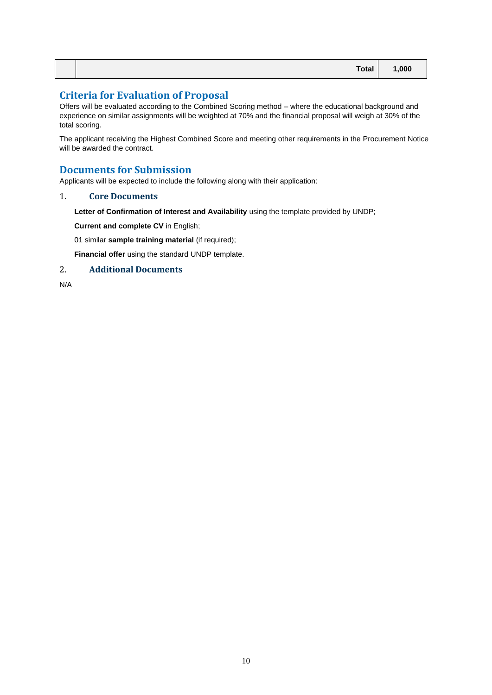# **Criteria for Evaluation of Proposal**

Offers will be evaluated according to the Combined Scoring method – where the educational background and experience on similar assignments will be weighted at 70% and the financial proposal will weigh at 30% of the total scoring.

The applicant receiving the Highest Combined Score and meeting other requirements in the Procurement Notice will be awarded the contract.

# **Documents for Submission**

Applicants will be expected to include the following along with their application:

#### 1. **Core Documents**

**Letter of Confirmation of Interest and Availability** using the template provided by UNDP;

**Current and complete CV** in English;

01 similar **sample training material** (if required);

**Financial offer** using the standard UNDP template.

## 2. **Additional Documents**

N/A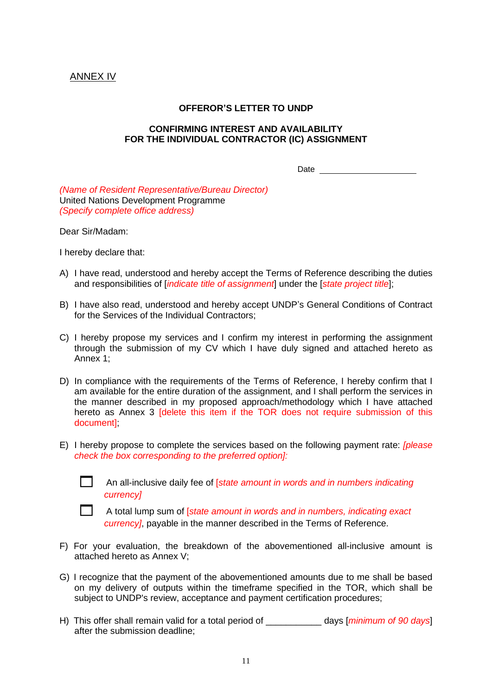# <span id="page-10-0"></span>ANNEX IV

### **OFFEROR'S LETTER TO UNDP**

### **CONFIRMING INTEREST AND AVAILABILITY FOR THE INDIVIDUAL CONTRACTOR (IC) ASSIGNMENT**

Date and the state of the state of the state of the state of the state of the state of the state of the state of the state of the state of the state of the state of the state of the state of the state of the state of the s

*(Name of Resident Representative/Bureau Director)* United Nations Development Programme *(Specify complete office address)*

Dear Sir/Madam:

I hereby declare that:

- A) I have read, understood and hereby accept the Terms of Reference describing the duties and responsibilities of [*indicate title of assignment*] under the [*state project title*];
- B) I have also read, understood and hereby accept UNDP's General Conditions of Contract for the Services of the Individual Contractors;
- C) I hereby propose my services and I confirm my interest in performing the assignment through the submission of my CV which I have duly signed and attached hereto as Annex 1;
- D) In compliance with the requirements of the Terms of Reference, I hereby confirm that I am available for the entire duration of the assignment, and I shall perform the services in the manner described in my proposed approach/methodology which I have attached hereto as Annex 3 [delete this item if the TOR does not require submission of this document];
- E) I hereby propose to complete the services based on the following payment rate: *[please check the box corresponding to the preferred option]:*



 An all-inclusive daily fee of [*state amount in words and in numbers indicating currency]*

 A total lump sum of [*state amount in words and in numbers, indicating exact currency*, payable in the manner described in the Terms of Reference.

- F) For your evaluation, the breakdown of the abovementioned all-inclusive amount is attached hereto as Annex V;
- G) I recognize that the payment of the abovementioned amounts due to me shall be based on my delivery of outputs within the timeframe specified in the TOR, which shall be subject to UNDP's review, acceptance and payment certification procedures;
- H) This offer shall remain valid for a total period of \_\_\_\_\_\_\_\_\_\_\_ days [*minimum of 90 days*] after the submission deadline;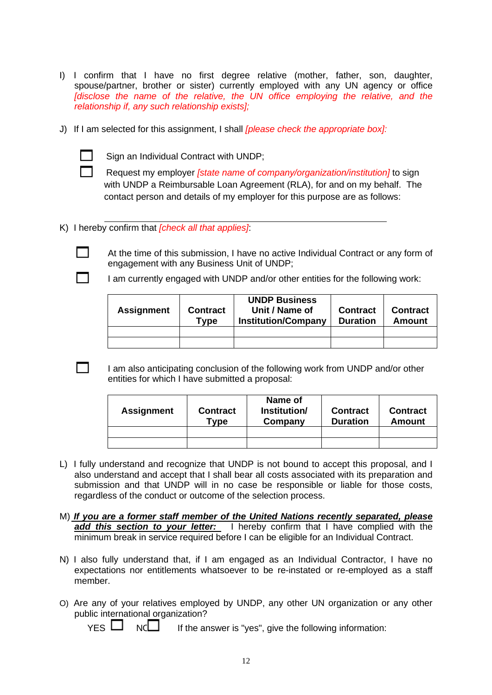- I) I confirm that I have no first degree relative (mother, father, son, daughter, spouse/partner, brother or sister) currently employed with any UN agency or office *[disclose the name of the relative, the UN office employing the relative, and the relationship if, any such relationship exists];*
- J) If I am selected for this assignment, I shall *[please check the appropriate box]:*
	-

Sign an Individual Contract with UNDP;

 Request my employer *[state name of company/organization/institution]* to sign with UNDP a Reimbursable Loan Agreement (RLA), for and on my behalf. The contact person and details of my employer for this purpose are as follows:

K) I hereby confirm that *[check all that applies]*:

 At the time of this submission, I have no active Individual Contract or any form of engagement with any Business Unit of UNDP;

I am currently engaged with UNDP and/or other entities for the following work:

| <b>Assignment</b> | <b>Contract</b><br>Type | <b>UNDP Business</b><br>Unit / Name of<br><b>Institution/Company</b> | <b>Contract</b><br><b>Duration</b> | <b>Contract</b><br><b>Amount</b> |
|-------------------|-------------------------|----------------------------------------------------------------------|------------------------------------|----------------------------------|
|                   |                         |                                                                      |                                    |                                  |
|                   |                         |                                                                      |                                    |                                  |

 $\Box$  I am also anticipating conclusion of the following work from UNDP and/or other entities for which I have submitted a proposal:

| <b>Assignment</b> | <b>Contract</b><br>Type | Name of<br>Institution/<br>Company | <b>Contract</b><br><b>Duration</b> | <b>Contract</b><br>Amount |
|-------------------|-------------------------|------------------------------------|------------------------------------|---------------------------|
|                   |                         |                                    |                                    |                           |
|                   |                         |                                    |                                    |                           |

- L) I fully understand and recognize that UNDP is not bound to accept this proposal, and I also understand and accept that I shall bear all costs associated with its preparation and submission and that UNDP will in no case be responsible or liable for those costs, regardless of the conduct or outcome of the selection process.
- M) *If you are a former staff member of the United Nations recently separated, please add this section to your letter:* I hereby confirm that I have complied with the minimum break in service required before I can be eligible for an Individual Contract.
- N) I also fully understand that, if I am engaged as an Individual Contractor, I have no expectations nor entitlements whatsoever to be re-instated or re-employed as a staff member.
- O) Are any of your relatives employed by UNDP, any other UN organization or any other public international organization?

 $YES$   $\Box$  NC $\Box$  If the answer is "yes", give the following information: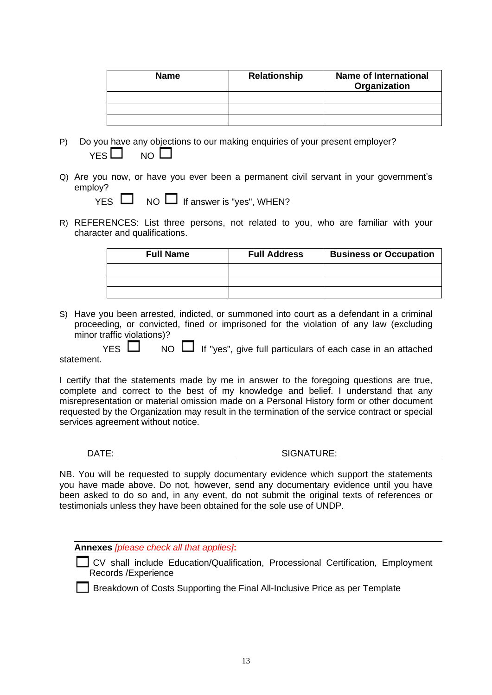| <b>Name</b> | <b>Relationship</b> | <b>Name of International</b><br>Organization |  |
|-------------|---------------------|----------------------------------------------|--|
|             |                     |                                              |  |
|             |                     |                                              |  |
|             |                     |                                              |  |

- P) Do you have any objections to our making enquiries of your present employer?  $YFS \Box$  NO  $\Pi$
- Q) Are you now, or have you ever been a permanent civil servant in your government's employ?

 $YES \Box NO \Box$  If answer is "ves", WHEN?

R) REFERENCES: List three persons, not related to you, who are familiar with your character and qualifications.

| <b>Full Name</b> | <b>Full Address</b> | <b>Business or Occupation</b> |
|------------------|---------------------|-------------------------------|
|                  |                     |                               |
|                  |                     |                               |
|                  |                     |                               |

S) Have you been arrested, indicted, or summoned into court as a defendant in a criminal proceeding, or convicted, fined or imprisoned for the violation of any law (excluding minor traffic violations)?

 $YES \Box$  NO  $\Box$  If "yes", give full particulars of each case in an attached statement.

I certify that the statements made by me in answer to the foregoing questions are true, complete and correct to the best of my knowledge and belief. I understand that any misrepresentation or material omission made on a Personal History form or other document requested by the Organization may result in the termination of the service contract or special services agreement without notice.

DATE: SIGNATURE:

NB. You will be requested to supply documentary evidence which support the statements you have made above. Do not, however, send any documentary evidence until you have been asked to do so and, in any event, do not submit the original texts of references or testimonials unless they have been obtained for the sole use of UNDP.

**Annexes** *[please check all that applies]***:**

CV shall include Education/Qualification, Processional Certification, Employment Records /Experience

**Breakdown of Costs Supporting the Final All-Inclusive Price as per Template**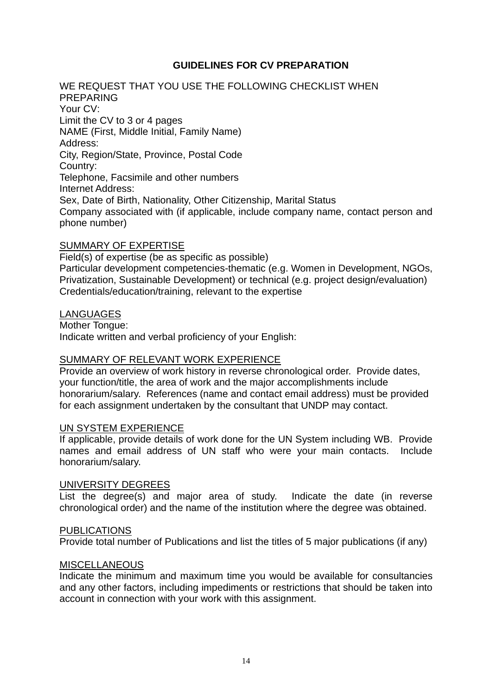# **GUIDELINES FOR CV PREPARATION**

WE REQUEST THAT YOU USE THE FOLLOWING CHECKLIST WHEN PREPARING Your CV: Limit the CV to 3 or 4 pages NAME (First, Middle Initial, Family Name) Address: City, Region/State, Province, Postal Code Country: Telephone, Facsimile and other numbers Internet Address: Sex, Date of Birth, Nationality, Other Citizenship, Marital Status Company associated with (if applicable, include company name, contact person and phone number)

# SUMMARY OF EXPERTISE

Field(s) of expertise (be as specific as possible) Particular development competencies-thematic (e.g. Women in Development, NGOs, Privatization, Sustainable Development) or technical (e.g. project design/evaluation) Credentials/education/training, relevant to the expertise

# LANGUAGES

Mother Tongue: Indicate written and verbal proficiency of your English:

## SUMMARY OF RELEVANT WORK EXPERIENCE

Provide an overview of work history in reverse chronological order. Provide dates, your function/title, the area of work and the major accomplishments include honorarium/salary. References (name and contact email address) must be provided for each assignment undertaken by the consultant that UNDP may contact.

## UN SYSTEM EXPERIENCE

If applicable, provide details of work done for the UN System including WB. Provide names and email address of UN staff who were your main contacts. Include honorarium/salary.

## UNIVERSITY DEGREES

List the degree(s) and major area of study. Indicate the date (in reverse chronological order) and the name of the institution where the degree was obtained.

## PUBLICATIONS

Provide total number of Publications and list the titles of 5 major publications (if any)

## MISCELLANEOUS

Indicate the minimum and maximum time you would be available for consultancies and any other factors, including impediments or restrictions that should be taken into account in connection with your work with this assignment.